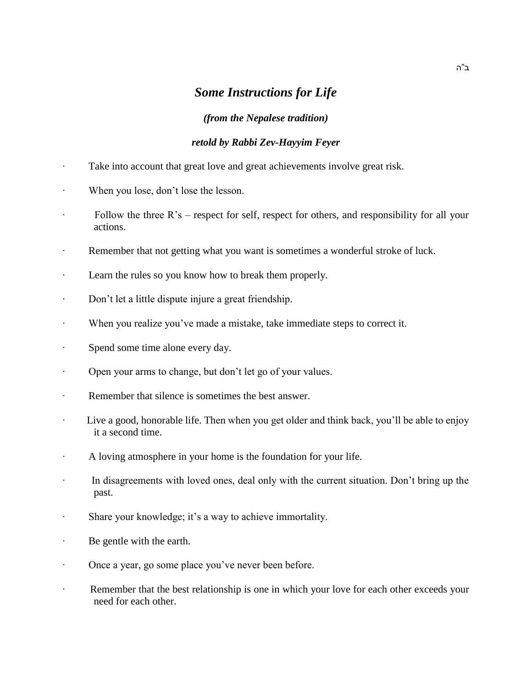## *Some Instructions for Life*

## *(from the Nepalese tradition)*

## *retold by Rabbi Zev-Hayyim Feyer*

- ∙ Take into account that great love and great achievements involve great risk.
- ∙ When you lose, don't lose the lesson.
- ∙ Follow the three R's respect for self, respect for others, and responsibility for all your actions.
- Remember that not getting what you want is sometimes a wonderful stroke of luck.
- ∙ Learn the rules so you know how to break them properly.
- ∙ Don't let a little dispute injure a great friendship.
- ∙ When you realize you've made a mistake, take immediate steps to correct it.
- ∙ Spend some time alone every day.
- ∙ Open your arms to change, but don't let go of your values.
- ∙ Remember that silence is sometimes the best answer.
- ∙ Live a good, honorable life. Then when you get older and think back, you'll be able to enjoy it a second time.
- ∙ A loving atmosphere in your home is the foundation for your life.
- ∙ In disagreements with loved ones, deal only with the current situation. Don't bring up the past.
- ∙ Share your knowledge; it's a way to achieve immortality.
- ∙ Be gentle with the earth.
- ∙ Once a year, go some place you've never been before.
- ∙ Remember that the best relationship is one in which your love for each other exceeds your need for each other.